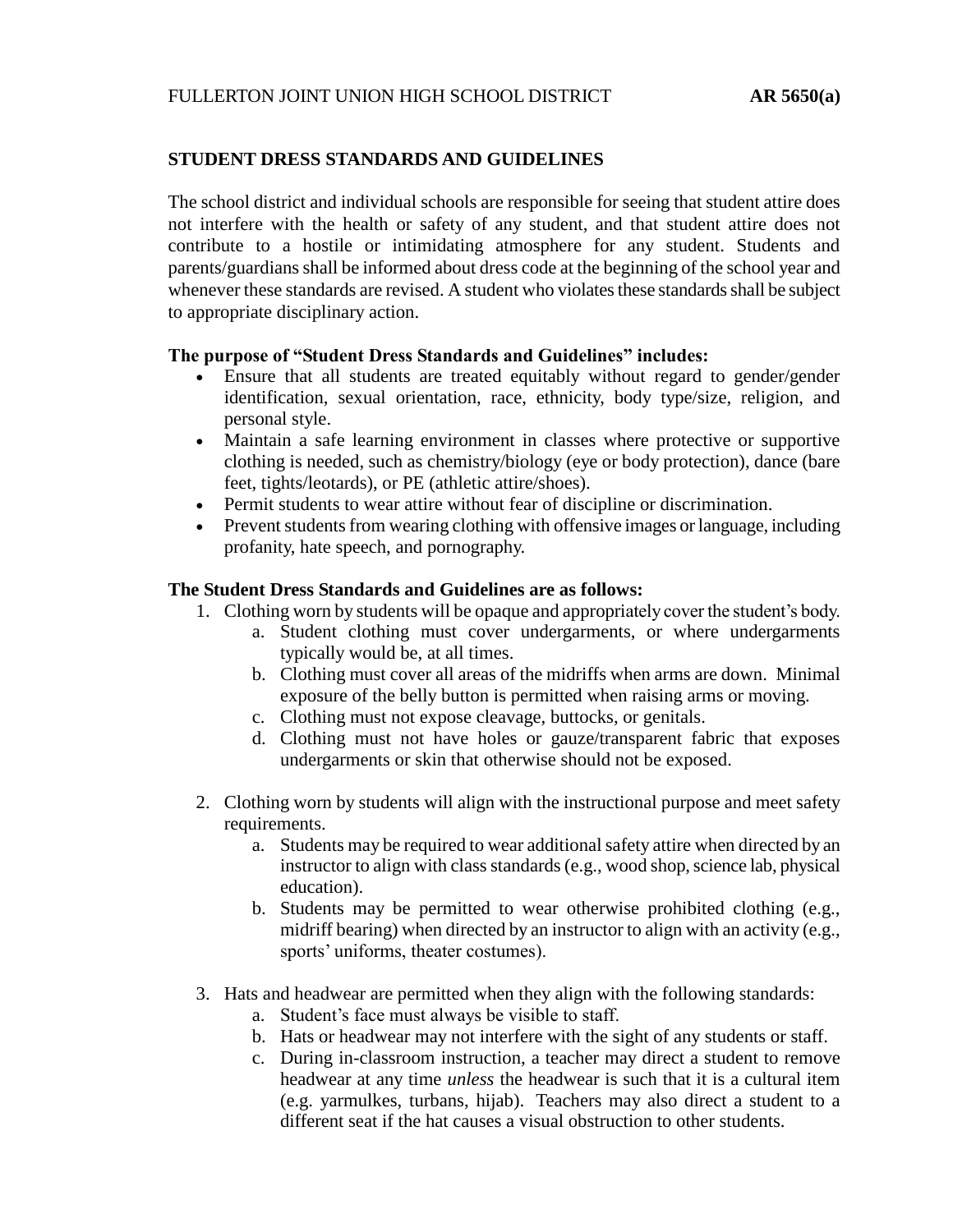## **STUDENT DRESS STANDARDS AND GUIDELINES**

The school district and individual schools are responsible for seeing that student attire does not interfere with the health or safety of any student, and that student attire does not contribute to a hostile or intimidating atmosphere for any student. Students and parents/guardians shall be informed about dress code at the beginning of the school year and whenever these standards are revised. A student who violates these standards shall be subject to appropriate disciplinary action.

## **The purpose of "Student Dress Standards and Guidelines" includes:**

- Ensure that all students are treated equitably without regard to gender/gender identification, sexual orientation, race, ethnicity, body type/size, religion, and personal style.
- Maintain a safe learning environment in classes where protective or supportive clothing is needed, such as chemistry/biology (eye or body protection), dance (bare feet, tights/leotards), or PE (athletic attire/shoes).
- Permit students to wear attire without fear of discipline or discrimination.
- Prevent students from wearing clothing with offensive images or language, including profanity, hate speech, and pornography.

## **The Student Dress Standards and Guidelines are as follows:**

- 1. Clothing worn by students will be opaque and appropriately cover the student's body.
	- a. Student clothing must cover undergarments, or where undergarments typically would be, at all times.
	- b. Clothing must cover all areas of the midriffs when arms are down. Minimal exposure of the belly button is permitted when raising arms or moving.
	- c. Clothing must not expose cleavage, buttocks, or genitals.
	- d. Clothing must not have holes or gauze/transparent fabric that exposes undergarments or skin that otherwise should not be exposed.
- 2. Clothing worn by students will align with the instructional purpose and meet safety requirements.
	- a. Students may be required to wear additional safety attire when directed by an instructor to align with class standards (e.g., wood shop, science lab, physical education).
	- b. Students may be permitted to wear otherwise prohibited clothing (e.g., midriff bearing) when directed by an instructor to align with an activity (e.g., sports' uniforms, theater costumes).
- 3. Hats and headwear are permitted when they align with the following standards:
	- a. Student's face must always be visible to staff.
	- b. Hats or headwear may not interfere with the sight of any students or staff.
	- c. During in-classroom instruction, a teacher may direct a student to remove headwear at any time *unless* the headwear is such that it is a cultural item (e.g. yarmulkes, turbans, hijab). Teachers may also direct a student to a different seat if the hat causes a visual obstruction to other students.